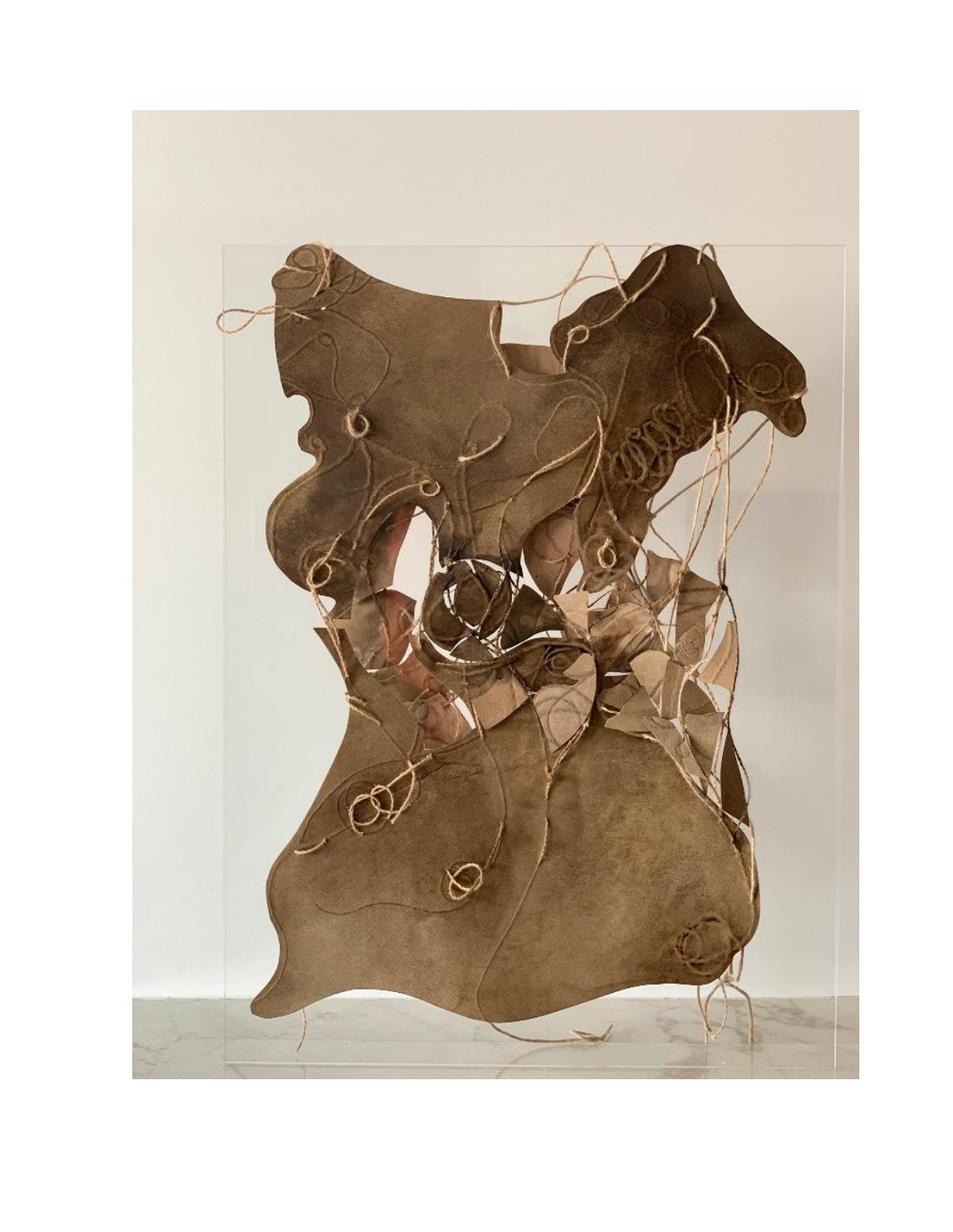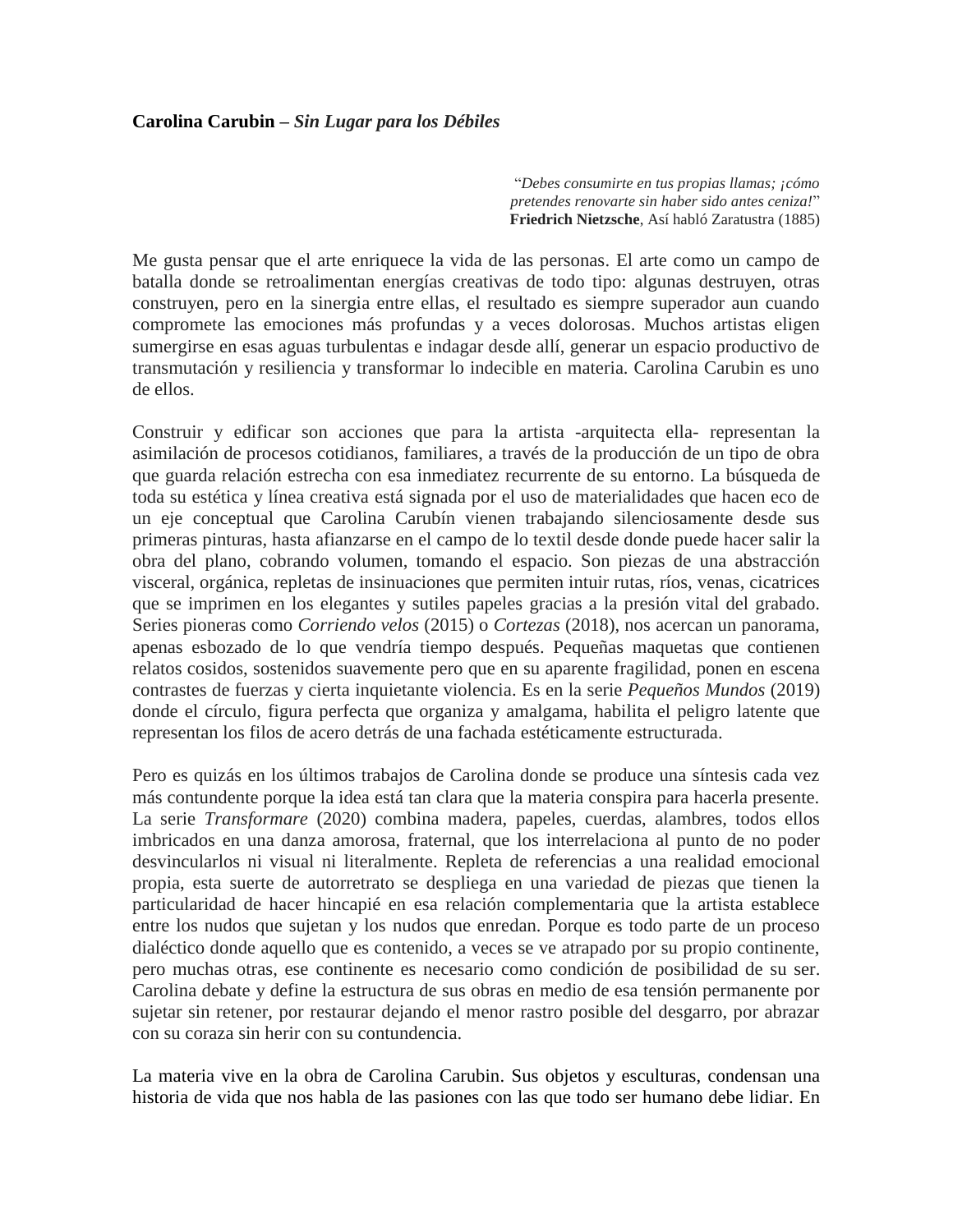## **Carolina Carubin –** *Sin Lugar para los Débiles*

"*Debes consumirte en tus propias llamas; ¡cómo pretendes renovarte sin haber sido antes ceniza!*" **Friedrich Nietzsche**, Así habló Zaratustra (1885)

Me gusta pensar que el arte enriquece la vida de las personas. El arte como un campo de batalla donde se retroalimentan energías creativas de todo tipo: algunas destruyen, otras construyen, pero en la sinergia entre ellas, el resultado es siempre superador aun cuando compromete las emociones más profundas y a veces dolorosas. Muchos artistas eligen sumergirse en esas aguas turbulentas e indagar desde allí, generar un espacio productivo de transmutación y resiliencia y transformar lo indecible en materia. Carolina Carubin es uno de ellos.

Construir y edificar son acciones que para la artista -arquitecta ella- representan la asimilación de procesos cotidianos, familiares, a través de la producción de un tipo de obra que guarda relación estrecha con esa inmediatez recurrente de su entorno. La búsqueda de toda su estética y línea creativa está signada por el uso de materialidades que hacen eco de un eje conceptual que Carolina Carubín vienen trabajando silenciosamente desde sus primeras pinturas, hasta afianzarse en el campo de lo textil desde donde puede hacer salir la obra del plano, cobrando volumen, tomando el espacio. Son piezas de una abstracción visceral, orgánica, repletas de insinuaciones que permiten intuir rutas, ríos, venas, cicatrices que se imprimen en los elegantes y sutiles papeles gracias a la presión vital del grabado. Series pioneras como *Corriendo velos* (2015) o *Cortezas* (2018), nos acercan un panorama, apenas esbozado de lo que vendría tiempo después. Pequeñas maquetas que contienen relatos cosidos, sostenidos suavemente pero que en su aparente fragilidad, ponen en escena contrastes de fuerzas y cierta inquietante violencia. Es en la serie *Pequeños Mundos* (2019) donde el círculo, figura perfecta que organiza y amalgama, habilita el peligro latente que representan los filos de acero detrás de una fachada estéticamente estructurada.

Pero es quizás en los últimos trabajos de Carolina donde se produce una síntesis cada vez más contundente porque la idea está tan clara que la materia conspira para hacerla presente. La serie *Transformare* (2020) combina madera, papeles, cuerdas, alambres, todos ellos imbricados en una danza amorosa, fraternal, que los interrelaciona al punto de no poder desvincularlos ni visual ni literalmente. Repleta de referencias a una realidad emocional propia, esta suerte de autorretrato se despliega en una variedad de piezas que tienen la particularidad de hacer hincapié en esa relación complementaria que la artista establece entre los nudos que sujetan y los nudos que enredan. Porque es todo parte de un proceso dialéctico donde aquello que es contenido, a veces se ve atrapado por su propio continente, pero muchas otras, ese continente es necesario como condición de posibilidad de su ser. Carolina debate y define la estructura de sus obras en medio de esa tensión permanente por sujetar sin retener, por restaurar dejando el menor rastro posible del desgarro, por abrazar con su coraza sin herir con su contundencia.

La materia vive en la obra de Carolina Carubin. Sus objetos y esculturas, condensan una historia de vida que nos habla de las pasiones con las que todo ser humano debe lidiar. En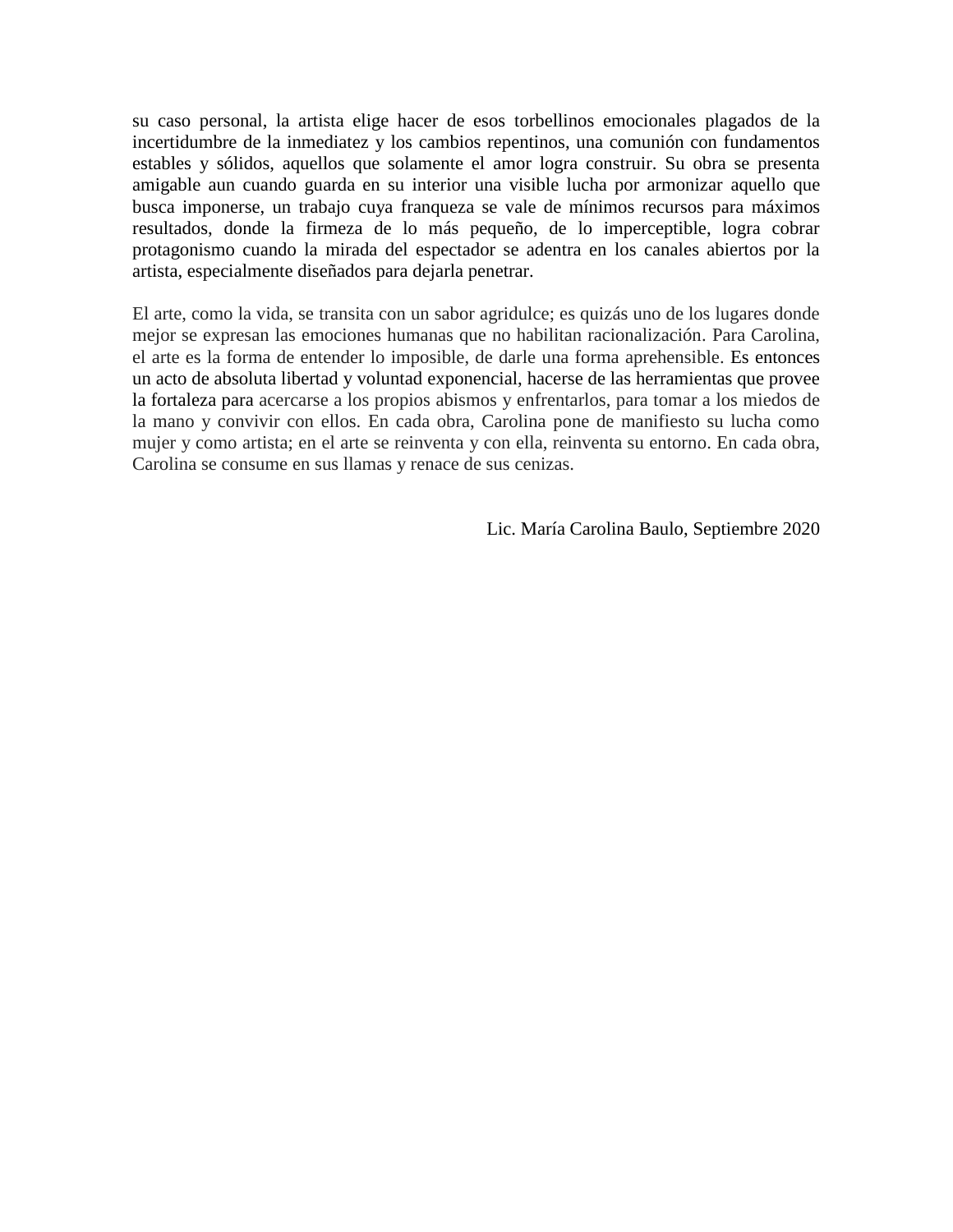su caso personal, la artista elige hacer de esos torbellinos emocionales plagados de la incertidumbre de la inmediatez y los cambios repentinos, una comunión con fundamentos estables y sólidos, aquellos que solamente el amor logra construir. Su obra se presenta amigable aun cuando guarda en su interior una visible lucha por armonizar aquello que busca imponerse, un trabajo cuya franqueza se vale de mínimos recursos para máximos resultados, donde la firmeza de lo más pequeño, de lo imperceptible, logra cobrar protagonismo cuando la mirada del espectador se adentra en los canales abiertos por la artista, especialmente diseñados para dejarla penetrar.

El arte, como la vida, se transita con un sabor agridulce; es quizás uno de los lugares donde mejor se expresan las emociones humanas que no habilitan racionalización. Para Carolina, el arte es la forma de entender lo imposible, de darle una forma aprehensible. Es entonces un acto de absoluta libertad y voluntad exponencial, hacerse de las herramientas que provee la fortaleza para acercarse a los propios abismos y enfrentarlos, para tomar a los miedos de la mano y convivir con ellos. En cada obra, Carolina pone de manifiesto su lucha como mujer y como artista; en el arte se reinventa y con ella, reinventa su entorno. En cada obra, Carolina se consume en sus llamas y renace de sus cenizas.

Lic. María Carolina Baulo, Septiembre 2020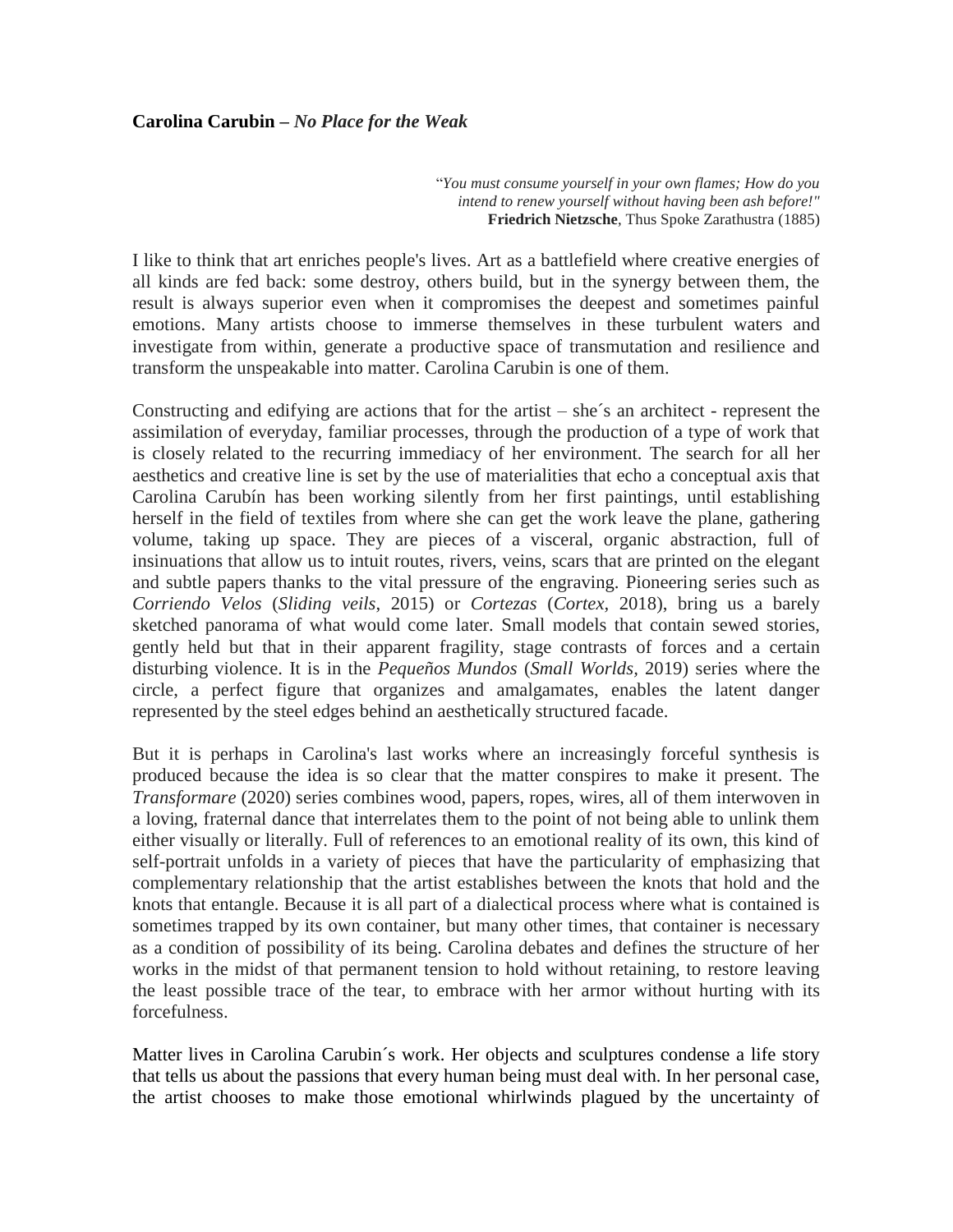## **Carolina Carubin –** *No Place for the Weak*

"*You must consume yourself in your own flames; How do you intend to renew yourself without having been ash before!"* **Friedrich Nietzsche**, Thus Spoke Zarathustra (1885)

I like to think that art enriches people's lives. Art as a battlefield where creative energies of all kinds are fed back: some destroy, others build, but in the synergy between them, the result is always superior even when it compromises the deepest and sometimes painful emotions. Many artists choose to immerse themselves in these turbulent waters and investigate from within, generate a productive space of transmutation and resilience and transform the unspeakable into matter. Carolina Carubin is one of them.

Constructing and edifying are actions that for the artist – she´s an architect - represent the assimilation of everyday, familiar processes, through the production of a type of work that is closely related to the recurring immediacy of her environment. The search for all her aesthetics and creative line is set by the use of materialities that echo a conceptual axis that Carolina Carubín has been working silently from her first paintings, until establishing herself in the field of textiles from where she can get the work leave the plane, gathering volume, taking up space. They are pieces of a visceral, organic abstraction, full of insinuations that allow us to intuit routes, rivers, veins, scars that are printed on the elegant and subtle papers thanks to the vital pressure of the engraving. Pioneering series such as *Corriendo Velos* (*Sliding veils*, 2015) or *Cortezas* (*Cortex,* 2018), bring us a barely sketched panorama of what would come later. Small models that contain sewed stories, gently held but that in their apparent fragility, stage contrasts of forces and a certain disturbing violence. It is in the *Pequeños Mundos* (*Small Worlds,* 2019) series where the circle, a perfect figure that organizes and amalgamates, enables the latent danger represented by the steel edges behind an aesthetically structured facade.

But it is perhaps in Carolina's last works where an increasingly forceful synthesis is produced because the idea is so clear that the matter conspires to make it present. The *Transformare* (2020) series combines wood, papers, ropes, wires, all of them interwoven in a loving, fraternal dance that interrelates them to the point of not being able to unlink them either visually or literally. Full of references to an emotional reality of its own, this kind of self-portrait unfolds in a variety of pieces that have the particularity of emphasizing that complementary relationship that the artist establishes between the knots that hold and the knots that entangle. Because it is all part of a dialectical process where what is contained is sometimes trapped by its own container, but many other times, that container is necessary as a condition of possibility of its being. Carolina debates and defines the structure of her works in the midst of that permanent tension to hold without retaining, to restore leaving the least possible trace of the tear, to embrace with her armor without hurting with its forcefulness.

Matter lives in Carolina Carubin´s work. Her objects and sculptures condense a life story that tells us about the passions that every human being must deal with. In her personal case, the artist chooses to make those emotional whirlwinds plagued by the uncertainty of